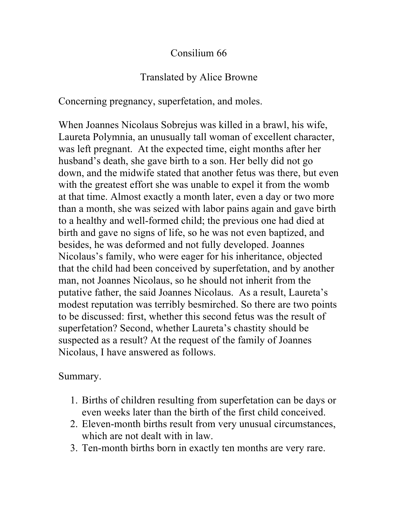## Consilium 66

## Translated by Alice Browne

Concerning pregnancy, superfetation, and moles.

When Joannes Nicolaus Sobrejus was killed in a brawl, his wife, Laureta Polymnia, an unusually tall woman of excellent character, was left pregnant. At the expected time, eight months after her husband's death, she gave birth to a son. Her belly did not go down, and the midwife stated that another fetus was there, but even with the greatest effort she was unable to expel it from the womb at that time. Almost exactly a month later, even a day or two more than a month, she was seized with labor pains again and gave birth to a healthy and well-formed child; the previous one had died at birth and gave no signs of life, so he was not even baptized, and besides, he was deformed and not fully developed. Joannes Nicolaus's family, who were eager for his inheritance, objected that the child had been conceived by superfetation, and by another man, not Joannes Nicolaus, so he should not inherit from the putative father, the said Joannes Nicolaus. As a result, Laureta's modest reputation was terribly besmirched. So there are two points to be discussed: first, whether this second fetus was the result of superfetation? Second, whether Laureta's chastity should be suspected as a result? At the request of the family of Joannes Nicolaus, I have answered as follows.

Summary.

- 1. Births of children resulting from superfetation can be days or even weeks later than the birth of the first child conceived.
- 2. Eleven-month births result from very unusual circumstances, which are not dealt with in law.
- 3. Ten-month births born in exactly ten months are very rare.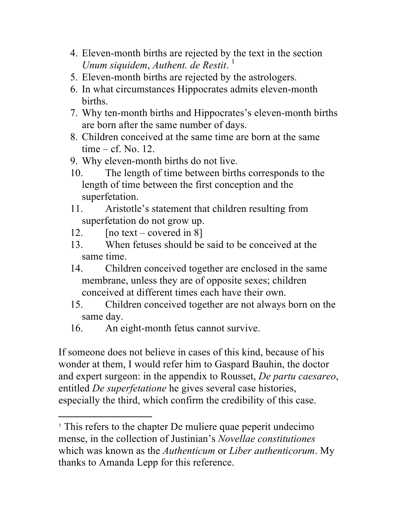- 4. Eleven-month births are rejected by the text in the section *Unum siquidem, Authent. de Restit.*
- 5. Eleven-month births are rejected by the astrologers.
- 6. In what circumstances Hippocrates admits eleven-month births.
- 7. Why ten-month births and Hippocrates's eleven-month births are born after the same number of days.
- 8. Children conceived at the same time are born at the same  $time - cf. No. 12.$
- 9. Why eleven-month births do not live.
- 10. The length of time between births corresponds to the length of time between the first conception and the superfetation.
- 11. Aristotle's statement that children resulting from superfetation do not grow up.
- 12.  $\lceil \text{no text} \text{covered in 8} \rceil$

 $\overline{a}$ 

- 13. When fetuses should be said to be conceived at the same time.
- 14. Children conceived together are enclosed in the same membrane, unless they are of opposite sexes; children conceived at different times each have their own.
- 15. Children conceived together are not always born on the same day.
- 16. An eight-month fetus cannot survive.

If someone does not believe in cases of this kind, because of his wonder at them, I would refer him to Gaspard Bauhin, the doctor and expert surgeon: in the appendix to Rousset, *De partu caesareo*, entitled *De superfetatione* he gives several case histories, especially the third, which confirm the credibility of this case.

<sup>1</sup> This refers to the chapter De muliere quae peperit undecimo mense, in the collection of Justinian's *Novellae constitutiones*  which was known as the *Authenticum* or *Liber authenticorum*. My thanks to Amanda Lepp for this reference.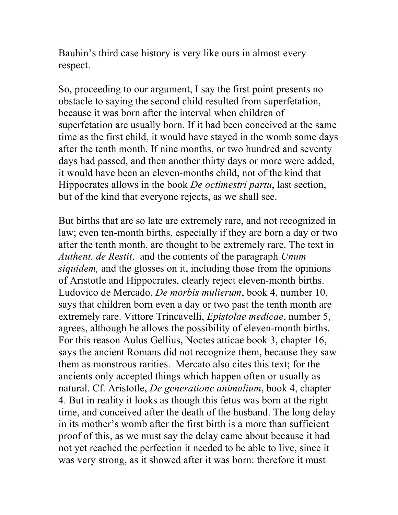Bauhin's third case history is very like ours in almost every respect.

So, proceeding to our argument, I say the first point presents no obstacle to saying the second child resulted from superfetation, because it was born after the interval when children of superfetation are usually born. If it had been conceived at the same time as the first child, it would have stayed in the womb some days after the tenth month. If nine months, or two hundred and seventy days had passed, and then another thirty days or more were added, it would have been an eleven-months child, not of the kind that Hippocrates allows in the book *De octimestri partu*, last section, but of the kind that everyone rejects, as we shall see.

But births that are so late are extremely rare, and not recognized in law; even ten-month births, especially if they are born a day or two after the tenth month, are thought to be extremely rare. The text in *Authent. de Restit*. and the contents of the paragraph *Unum siquidem,* and the glosses on it, including those from the opinions of Aristotle and Hippocrates, clearly reject eleven-month births. Ludovico de Mercado, *De morbis mulierum*, book 4, number 10, says that children born even a day or two past the tenth month are extremely rare. Vittore Trincavelli, *Epistolae medicae*, number 5, agrees, although he allows the possibility of eleven-month births. For this reason Aulus Gellius, Noctes atticae book 3, chapter 16, says the ancient Romans did not recognize them, because they saw them as monstrous rarities. Mercato also cites this text; for the ancients only accepted things which happen often or usually as natural. Cf. Aristotle, *De generatione animalium*, book 4, chapter 4. But in reality it looks as though this fetus was born at the right time, and conceived after the death of the husband. The long delay in its mother's womb after the first birth is a more than sufficient proof of this, as we must say the delay came about because it had not yet reached the perfection it needed to be able to live, since it was very strong, as it showed after it was born: therefore it must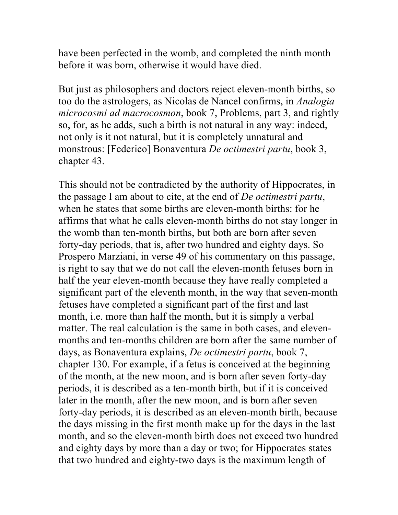have been perfected in the womb, and completed the ninth month before it was born, otherwise it would have died.

But just as philosophers and doctors reject eleven-month births, so too do the astrologers, as Nicolas de Nancel confirms, in *Analogia microcosmi ad macrocosmon*, book 7, Problems, part 3, and rightly so, for, as he adds, such a birth is not natural in any way: indeed, not only is it not natural, but it is completely unnatural and monstrous: [Federico] Bonaventura *De octimestri partu*, book 3, chapter 43.

This should not be contradicted by the authority of Hippocrates, in the passage I am about to cite, at the end of *De octimestri partu*, when he states that some births are eleven-month births: for he affirms that what he calls eleven-month births do not stay longer in the womb than ten-month births, but both are born after seven forty-day periods, that is, after two hundred and eighty days. So Prospero Marziani, in verse 49 of his commentary on this passage, is right to say that we do not call the eleven-month fetuses born in half the year eleven-month because they have really completed a significant part of the eleventh month, in the way that seven-month fetuses have completed a significant part of the first and last month, i.e. more than half the month, but it is simply a verbal matter. The real calculation is the same in both cases, and elevenmonths and ten-months children are born after the same number of days, as Bonaventura explains, *De octimestri partu*, book 7, chapter 130. For example, if a fetus is conceived at the beginning of the month, at the new moon, and is born after seven forty-day periods, it is described as a ten-month birth, but if it is conceived later in the month, after the new moon, and is born after seven forty-day periods, it is described as an eleven-month birth, because the days missing in the first month make up for the days in the last month, and so the eleven-month birth does not exceed two hundred and eighty days by more than a day or two; for Hippocrates states that two hundred and eighty-two days is the maximum length of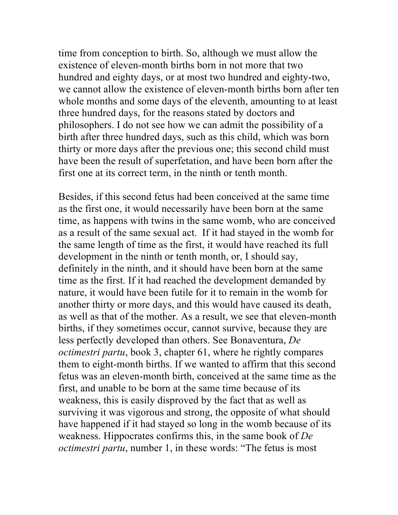time from conception to birth. So, although we must allow the existence of eleven-month births born in not more that two hundred and eighty days, or at most two hundred and eighty-two, we cannot allow the existence of eleven-month births born after ten whole months and some days of the eleventh, amounting to at least three hundred days, for the reasons stated by doctors and philosophers. I do not see how we can admit the possibility of a birth after three hundred days, such as this child, which was born thirty or more days after the previous one; this second child must have been the result of superfetation, and have been born after the first one at its correct term, in the ninth or tenth month.

Besides, if this second fetus had been conceived at the same time as the first one, it would necessarily have been born at the same time, as happens with twins in the same womb, who are conceived as a result of the same sexual act. If it had stayed in the womb for the same length of time as the first, it would have reached its full development in the ninth or tenth month, or, I should say, definitely in the ninth, and it should have been born at the same time as the first. If it had reached the development demanded by nature, it would have been futile for it to remain in the womb for another thirty or more days, and this would have caused its death, as well as that of the mother. As a result, we see that eleven-month births, if they sometimes occur, cannot survive, because they are less perfectly developed than others. See Bonaventura, *De octimestri partu*, book 3, chapter 61, where he rightly compares them to eight-month births. If we wanted to affirm that this second fetus was an eleven-month birth, conceived at the same time as the first, and unable to be born at the same time because of its weakness, this is easily disproved by the fact that as well as surviving it was vigorous and strong, the opposite of what should have happened if it had stayed so long in the womb because of its weakness. Hippocrates confirms this, in the same book of *De octimestri partu*, number 1, in these words: "The fetus is most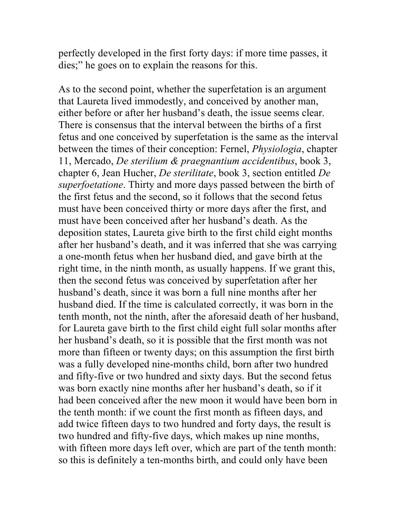perfectly developed in the first forty days: if more time passes, it dies;" he goes on to explain the reasons for this.

As to the second point, whether the superfetation is an argument that Laureta lived immodestly, and conceived by another man, either before or after her husband's death, the issue seems clear. There is consensus that the interval between the births of a first fetus and one conceived by superfetation is the same as the interval between the times of their conception: Fernel, *Physiologia*, chapter 11, Mercado, *De sterilium & praegnantium accidentibus*, book 3, chapter 6, Jean Hucher, *De sterilitate*, book 3, section entitled *De superfoetatione*. Thirty and more days passed between the birth of the first fetus and the second, so it follows that the second fetus must have been conceived thirty or more days after the first, and must have been conceived after her husband's death. As the deposition states, Laureta give birth to the first child eight months after her husband's death, and it was inferred that she was carrying a one-month fetus when her husband died, and gave birth at the right time, in the ninth month, as usually happens. If we grant this, then the second fetus was conceived by superfetation after her husband's death, since it was born a full nine months after her husband died. If the time is calculated correctly, it was born in the tenth month, not the ninth, after the aforesaid death of her husband, for Laureta gave birth to the first child eight full solar months after her husband's death, so it is possible that the first month was not more than fifteen or twenty days; on this assumption the first birth was a fully developed nine-months child, born after two hundred and fifty-five or two hundred and sixty days. But the second fetus was born exactly nine months after her husband's death, so if it had been conceived after the new moon it would have been born in the tenth month: if we count the first month as fifteen days, and add twice fifteen days to two hundred and forty days, the result is two hundred and fifty-five days, which makes up nine months, with fifteen more days left over, which are part of the tenth month: so this is definitely a ten-months birth, and could only have been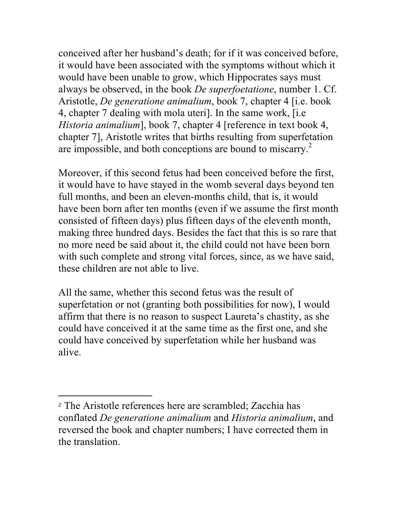conceived after her husband's death; for if it was conceived before, it would have been associated with the symptoms without which it would have been unable to grow, which Hippocrates says must always be observed, in the book *De superfoetatione*, number 1. Cf. Aristotle, *De generatione animalium*, book 7, chapter 4 [i.e. book 4, chapter 7 dealing with mola uteri]. In the same work, [i.e *Historia animalium*], book 7, chapter 4 [reference in text book 4, chapter 7], Aristotle writes that births resulting from superfetation are impossible, and both conceptions are bound to miscarry.<sup>2</sup>

Moreover, if this second fetus had been conceived before the first, it would have to have stayed in the womb several days beyond ten full months, and been an eleven-months child, that is, it would have been born after ten months (even if we assume the first month consisted of fifteen days) plus fifteen days of the eleventh month, making three hundred days. Besides the fact that this is so rare that no more need be said about it, the child could not have been born with such complete and strong vital forces, since, as we have said, these children are not able to live.

All the same, whether this second fetus was the result of superfetation or not (granting both possibilities for now), I would affirm that there is no reason to suspect Laureta's chastity, as she could have conceived it at the same time as the first one, and she could have conceived by superfetation while her husband was alive.

<sup>2</sup> The Aristotle references here are scrambled; Zacchia has conflated *De generatione animalium* and *Historia animalium*, and reversed the book and chapter numbers; I have corrected them in the translation.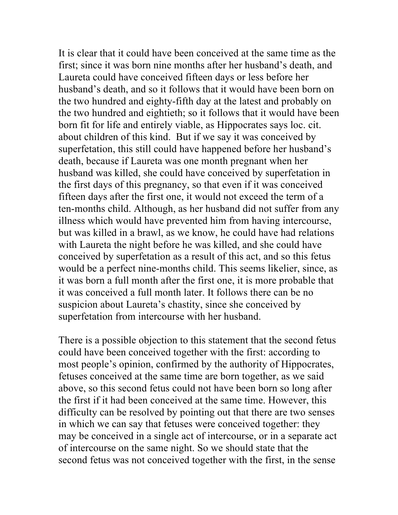It is clear that it could have been conceived at the same time as the first; since it was born nine months after her husband's death, and Laureta could have conceived fifteen days or less before her husband's death, and so it follows that it would have been born on the two hundred and eighty-fifth day at the latest and probably on the two hundred and eightieth; so it follows that it would have been born fit for life and entirely viable, as Hippocrates says loc. cit. about children of this kind. But if we say it was conceived by superfetation, this still could have happened before her husband's death, because if Laureta was one month pregnant when her husband was killed, she could have conceived by superfetation in the first days of this pregnancy, so that even if it was conceived fifteen days after the first one, it would not exceed the term of a ten-months child. Although, as her husband did not suffer from any illness which would have prevented him from having intercourse, but was killed in a brawl, as we know, he could have had relations with Laureta the night before he was killed, and she could have conceived by superfetation as a result of this act, and so this fetus would be a perfect nine-months child. This seems likelier, since, as it was born a full month after the first one, it is more probable that it was conceived a full month later. It follows there can be no suspicion about Laureta's chastity, since she conceived by superfetation from intercourse with her husband.

There is a possible objection to this statement that the second fetus could have been conceived together with the first: according to most people's opinion, confirmed by the authority of Hippocrates, fetuses conceived at the same time are born together, as we said above, so this second fetus could not have been born so long after the first if it had been conceived at the same time. However, this difficulty can be resolved by pointing out that there are two senses in which we can say that fetuses were conceived together: they may be conceived in a single act of intercourse, or in a separate act of intercourse on the same night. So we should state that the second fetus was not conceived together with the first, in the sense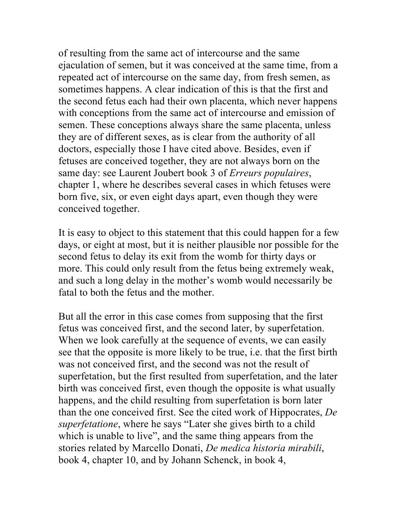of resulting from the same act of intercourse and the same ejaculation of semen, but it was conceived at the same time, from a repeated act of intercourse on the same day, from fresh semen, as sometimes happens. A clear indication of this is that the first and the second fetus each had their own placenta, which never happens with conceptions from the same act of intercourse and emission of semen. These conceptions always share the same placenta, unless they are of different sexes, as is clear from the authority of all doctors, especially those I have cited above. Besides, even if fetuses are conceived together, they are not always born on the same day: see Laurent Joubert book 3 of *Erreurs populaires*, chapter 1, where he describes several cases in which fetuses were born five, six, or even eight days apart, even though they were conceived together.

It is easy to object to this statement that this could happen for a few days, or eight at most, but it is neither plausible nor possible for the second fetus to delay its exit from the womb for thirty days or more. This could only result from the fetus being extremely weak, and such a long delay in the mother's womb would necessarily be fatal to both the fetus and the mother.

But all the error in this case comes from supposing that the first fetus was conceived first, and the second later, by superfetation. When we look carefully at the sequence of events, we can easily see that the opposite is more likely to be true, i.e. that the first birth was not conceived first, and the second was not the result of superfetation, but the first resulted from superfetation, and the later birth was conceived first, even though the opposite is what usually happens, and the child resulting from superfetation is born later than the one conceived first. See the cited work of Hippocrates, *De superfetatione*, where he says "Later she gives birth to a child which is unable to live", and the same thing appears from the stories related by Marcello Donati, *De medica historia mirabili*, book 4, chapter 10, and by Johann Schenck, in book 4,